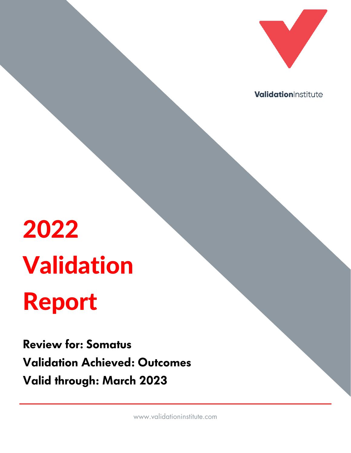

ValidationInstitute

# 2022 Validation Report

**Review for: Somatus Validation Achieved: Outcomes Valid through: March 2023**

www.validationinstitute.com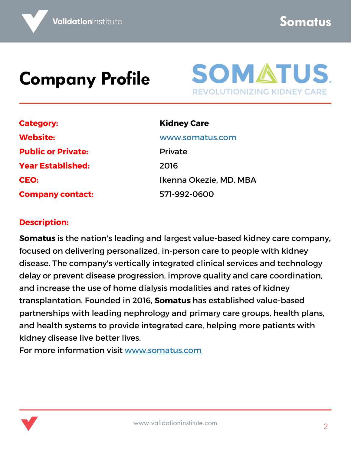**Somatus**

#### **Company Profile**



| <b>Category:</b>          |
|---------------------------|
| <b>Website:</b>           |
| <b>Public or Private:</b> |
| <b>Year Established:</b>  |
| <b>CEO:</b>               |
| <b>Company contact:</b>   |

**Kidney Care** [www.somatus.com](http://www.somatus.com/) Private 2016 Ikenna Okezie, MD, MBA

571-992-0600

#### **Description:**

**Somatus** is the nation's leading and largest value-based kidney care company, focused on delivering personalized, in-person care to people with kidney disease. The company's vertically integrated clinical services and technology delay or prevent disease progression, improve quality and care coordination, and increase the use of home dialysis modalities and rates of kidney transplantation. Founded in 2016, **Somatus** has established value-based partnerships with leading nephrology and primary care groups, health plans, and health systems to provide integrated care, helping more patients with kidney disease live better lives.

For more information visit [www.somatus.com](http://www.somatus.com/)

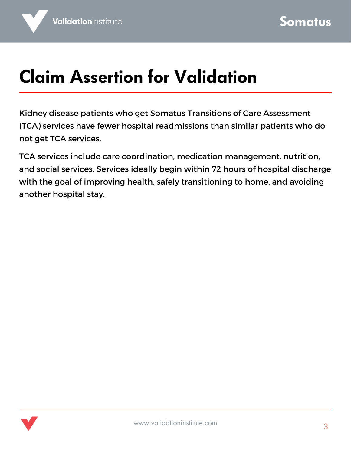### **Claim Assertion for Validation**

Kidney disease patients who get Somatus Transitions of Care Assessment (TCA) services have fewer hospital readmissions than similar patients who do not get TCA services.

TCA services include care coordination, medication management, nutrition, and social services. Services ideally begin within 72 hours of hospital discharge with the goal of improving health, safely transitioning to home, and avoiding another hospital stay.

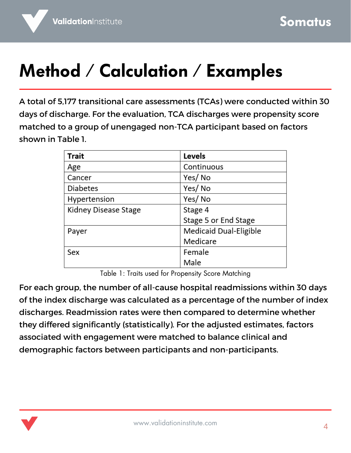### **Method / Calculation / Examples**

A total of 5,177 transitional care assessments (TCAs) were conducted within 30 days of discharge. For the evaluation, TCA discharges were propensity score matched to a group of unengaged non-TCA participant based on factors shown in Table 1.

| Trait                | Levels                 |
|----------------------|------------------------|
| Age                  | Continuous             |
| Cancer               | Yes/No                 |
| <b>Diabetes</b>      | Yes/No                 |
| Hypertension         | Yes/No                 |
| Kidney Disease Stage | Stage 4                |
|                      | Stage 5 or End Stage   |
| Payer                | Medicaid Dual-Eligible |
|                      | Medicare               |
| Sex                  | Female                 |
|                      | Male                   |

Table 1: Traits used for Propensity Score Matching

For each group, the number of all-cause hospital readmissions within 30 days of the index discharge was calculated as a percentage of the number of index discharges. Readmission rates were then compared to determine whether they differed significantly (statistically). For the adjusted estimates, factors associated with engagement were matched to balance clinical and demographic factors between participants and non-participants.

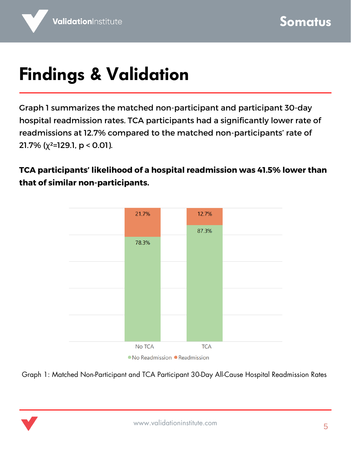## **Findings & Validation**

Graph 1 summarizes the matched non-participant and participant 30-day hospital readmission rates. TCA participants had a significantly lower rate of readmissions at 12.7% compared to the matched non-participants' rate of 21.7% ( $\chi^2$ =129.1,  $p < 0.01$ ).

**TCA participants' likelihood of a hospital readmission was 41.5% lower than that of similar non-participants.**



● No Readmission ● Readmission

Graph 1: Matched Non-Participant and TCA Participant 30-Day All-Cause Hospital Readmission Rates

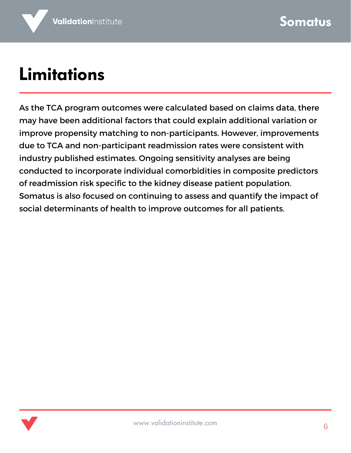### **Limitations**

As the TCA program outcomes were calculated based on claims data, there may have been additional factors that could explain additional variation or improve propensity matching to non-participants. However, improvements due to TCA and non-participant readmission rates were consistent with industry published estimates. Ongoing sensitivity analyses are being conducted to incorporate individual comorbidities in composite predictors of readmission risk specific to the kidney disease patient population. Somatus is also focused on continuing to assess and quantify the impact of social determinants of health to improve outcomes for all patients.

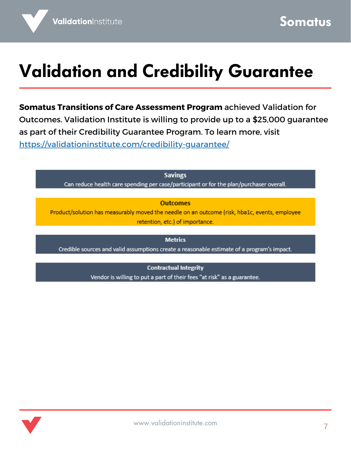### **Validation and Credibility Guarantee**

**Somatus Transitions of Care Assessment Program** achieved Validation for Outcomes. Validation Institute is willing to provide up to a \$25,000 guarantee as part of their Credibility Guarantee Program. To learn more, visit <https://validationinstitute.com/credibility-guarantee/>

> **Savings** Can reduce health care spending per case/participant or for the plan/purchaser overall.

#### **Outcomes**

Product/solution has measurably moved the needle on an outcome (risk, hba1c, events, employee retention, etc.) of importance.

**Metrics** Credible sources and valid assumptions create a reasonable estimate of a program's impact.

> **Contractual Integrity** Vendor is willing to put a part of their fees "at risk" as a guarantee.

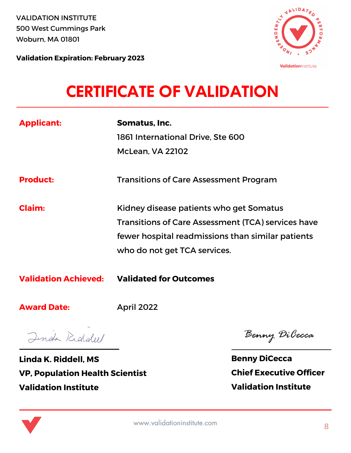VALIDATION INSTITUTE 500 West Cummings Park Woburn, MA 01801



ValidationInstitute

**Validation Expiration: February 2023**

#### **CERTIFICATE OF VALIDATION**

| <b>Applicant:</b>           | Somatus, Inc.<br>1861 International Drive, Ste 600<br><b>McLean, VA 22102</b>                                                                                                             |
|-----------------------------|-------------------------------------------------------------------------------------------------------------------------------------------------------------------------------------------|
| <b>Product:</b>             | <b>Transitions of Care Assessment Program</b>                                                                                                                                             |
| Claim:                      | Kidney disease patients who get Somatus<br><b>Transitions of Care Assessment (TCA) services have</b><br>fewer hospital readmissions than similar patients<br>who do not get TCA services. |
| <b>Validation Achieved:</b> | <b>Validated for Outcomes</b>                                                                                                                                                             |
| <b>Award Date:</b>          | <b>April 2022</b>                                                                                                                                                                         |

Jinda Riddell

**Linda K. Riddell, MS VP, Population Health Scientist Validation Institute**

Benny DiCecca

**Benny DiCecca Chief Executive Officer Validation Institute**